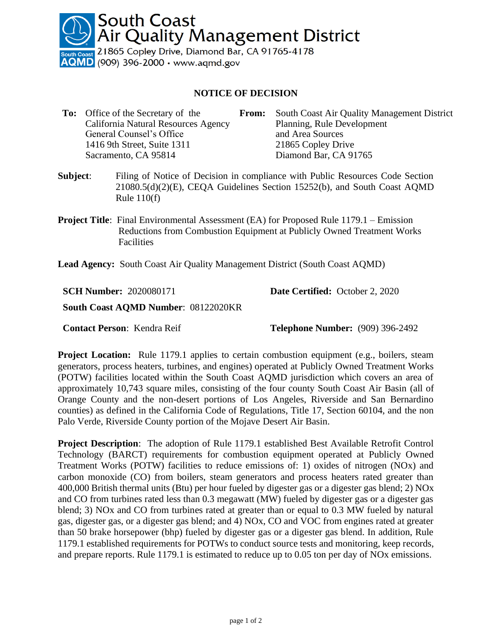**South Coast** Air Quality Management District

 $\frac{1}{100}$  21865 Copley Drive, Diamond Bar, CA 91765-4178  $QMD$  (909) 396-2000  $\cdot$  www.aqmd.gov

## **NOTICE OF DECISION**

- **To:** Office of the Secretary of the California Natural Resources Agency **From:** South Coast Air Quality Management District Planning, Rule Development General Counsel's Office and Area Sources 1416 9th Street, Suite 1311 21865 Copley Drive Sacramento, CA 95814 Diamond Bar, CA 91765
- **Subject**: Filing of Notice of Decision in compliance with Public Resources Code Section 21080.5(d)(2)(E), CEQA Guidelines Section 15252(b), and South Coast AQMD Rule  $110(f)$
- **Project Title**: Final Environmental Assessment (EA) for Proposed Rule 1179.1 Emission Reductions from Combustion Equipment at Publicly Owned Treatment Works Facilities

**Lead Agency:** South Coast Air Quality Management District (South Coast AQMD)

**SCH Number:** 2020080171

**Date Certified:** October 2, 2020

**South Coast AQMD Number**: 08122020KR

**Contact Person**: Kendra Reif **Telephone Number:** (909) 396-2492

**Project Location:** Rule 1179.1 applies to certain combustion equipment (e.g., boilers, steam generators, process heaters, turbines, and engines) operated at Publicly Owned Treatment Works (POTW) facilities located within the South Coast AQMD jurisdiction which covers an area of approximately 10,743 square miles, consisting of the four county South Coast Air Basin (all of Orange County and the non-desert portions of Los Angeles, Riverside and San Bernardino counties) as defined in the California Code of Regulations, Title 17, Section 60104, and the non Palo Verde, Riverside County portion of the Mojave Desert Air Basin.

**Project Description**: The adoption of Rule 1179.1 established Best Available Retrofit Control Technology (BARCT) requirements for combustion equipment operated at Publicly Owned Treatment Works (POTW) facilities to reduce emissions of: 1) oxides of nitrogen (NOx) and carbon monoxide (CO) from boilers, steam generators and process heaters rated greater than 400,000 British thermal units (Btu) per hour fueled by digester gas or a digester gas blend; 2) NOx and CO from turbines rated less than 0.3 megawatt (MW) fueled by digester gas or a digester gas blend; 3) NOx and CO from turbines rated at greater than or equal to 0.3 MW fueled by natural gas, digester gas, or a digester gas blend; and 4) NOx, CO and VOC from engines rated at greater than 50 brake horsepower (bhp) fueled by digester gas or a digester gas blend. In addition, Rule 1179.1 established requirements for POTWs to conduct source tests and monitoring, keep records, and prepare reports. Rule 1179.1 is estimated to reduce up to 0.05 ton per day of NOx emissions.